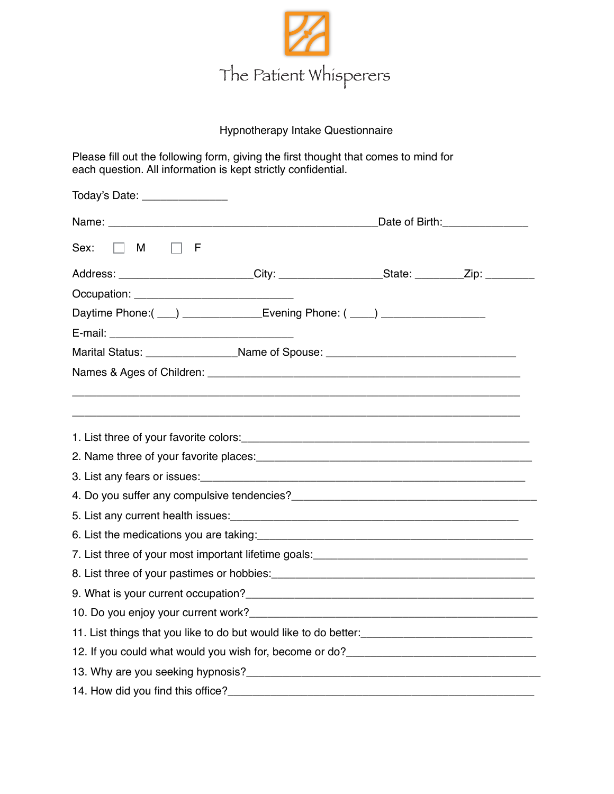

## Hypnotherapy Intake Questionnaire

Please fill out the following form, giving the first thought that comes to mind for each question. All information is kept strictly confidential.

| Today's Date: _________________                                                                                                                                                                                                        |  |  |  |  |
|----------------------------------------------------------------------------------------------------------------------------------------------------------------------------------------------------------------------------------------|--|--|--|--|
| Date of Birth: 2000 Pate of Birth:                                                                                                                                                                                                     |  |  |  |  |
| $\Box$ F<br>Sex:<br>$\Box$ M                                                                                                                                                                                                           |  |  |  |  |
| Address: _______________________City: _____________________State: __________Zip: __________________                                                                                                                                    |  |  |  |  |
|                                                                                                                                                                                                                                        |  |  |  |  |
| Daytime Phone:( ___) _______________Evening Phone: ( ____) _____________________                                                                                                                                                       |  |  |  |  |
|                                                                                                                                                                                                                                        |  |  |  |  |
| Marital Status: ___________________Name of Spouse: _____________________________                                                                                                                                                       |  |  |  |  |
|                                                                                                                                                                                                                                        |  |  |  |  |
|                                                                                                                                                                                                                                        |  |  |  |  |
|                                                                                                                                                                                                                                        |  |  |  |  |
|                                                                                                                                                                                                                                        |  |  |  |  |
|                                                                                                                                                                                                                                        |  |  |  |  |
|                                                                                                                                                                                                                                        |  |  |  |  |
|                                                                                                                                                                                                                                        |  |  |  |  |
| 5. List any current health issues:<br><u> and the manual contract of the manual contract of the set of the set of the set of the set of the set of the set of the set of the set of the set of the set of the set of the set of th</u> |  |  |  |  |
| 6. List the medications you are taking: [10] Manuscription and the medical contract of the medications you are taking:                                                                                                                 |  |  |  |  |
| 7. List three of your most important lifetime goals:<br>The manu-                                                                                                                                                                      |  |  |  |  |
| 8. List three of your pastimes or hobbies:<br><u> and the contract of your pastimes or hobbies:</u>                                                                                                                                    |  |  |  |  |
|                                                                                                                                                                                                                                        |  |  |  |  |
| 10. Do you enjoy your current work? example a series of the series of the series of the series of the series of the series of the series of the series of the series of the series of the series of the series of the series o         |  |  |  |  |
|                                                                                                                                                                                                                                        |  |  |  |  |
| 12. If you could what would you wish for, become or do?__________________________                                                                                                                                                      |  |  |  |  |
| 13. Why are you seeking hypnosis? <b>Example 2008</b> 2014 12:30 and 2014 2015 2016 2017 2018 2019 2019 2019 2017 2018                                                                                                                 |  |  |  |  |
| 14. How did you find this office?                                                                                                                                                                                                      |  |  |  |  |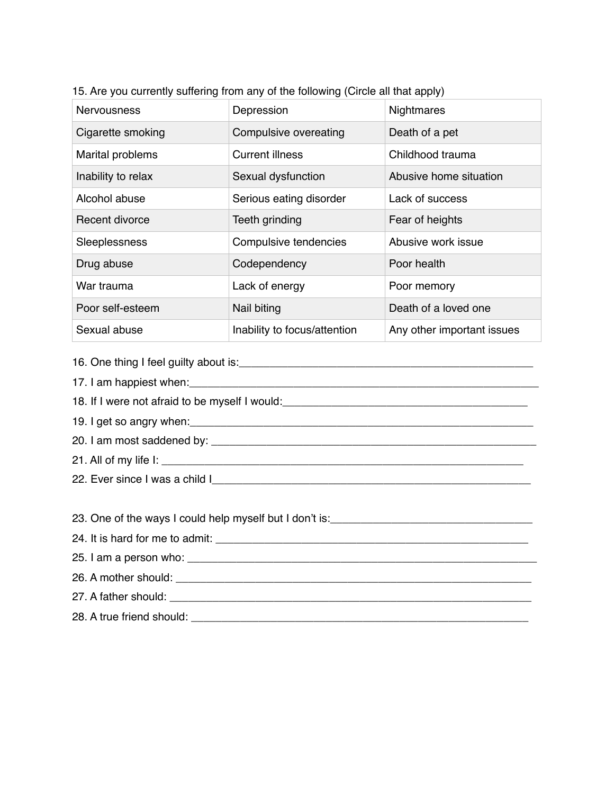| <b>Nervousness</b> | Depression                   | <b>Nightmares</b>          |
|--------------------|------------------------------|----------------------------|
| Cigarette smoking  | Compulsive overeating        | Death of a pet             |
| Marital problems   | <b>Current illness</b>       | Childhood trauma           |
| Inability to relax | Sexual dysfunction           | Abusive home situation     |
| Alcohol abuse      | Serious eating disorder      | Lack of success            |
| Recent divorce     | Teeth grinding               | Fear of heights            |
| Sleeplessness      | Compulsive tendencies        | Abusive work issue         |
| Drug abuse         | Codependency                 | Poor health                |
| War trauma         | Lack of energy               | Poor memory                |
| Poor self-esteem   | Nail biting                  | Death of a loved one       |
| Sexual abuse       | Inability to focus/attention | Any other important issues |

15. Are you currently suffering from any of the following (Circle all that apply)

16. One thing I feel guilty about is:\_\_\_\_\_\_\_\_\_\_\_\_\_\_\_\_\_\_\_\_\_\_\_\_\_\_\_\_\_\_\_\_\_\_\_\_\_\_\_\_\_\_\_\_\_\_\_\_

17. I am happiest when:

18. If I were not afraid to be myself I would:\_\_\_\_\_\_\_\_\_\_\_\_\_\_\_\_\_\_\_\_\_\_\_\_\_\_\_\_\_\_\_\_\_\_\_\_\_\_\_\_

19. I get so angry when:

20. I am most saddened by: \_\_\_\_\_\_\_\_\_\_\_\_\_\_\_\_\_\_\_\_\_\_\_\_\_\_\_\_\_\_\_\_\_\_\_\_\_\_\_\_\_\_\_\_\_\_\_\_\_\_\_\_\_

21. All of my life I: \_\_\_\_\_\_\_\_\_\_\_\_\_\_\_\_\_\_\_\_\_\_\_\_\_\_\_\_\_\_\_\_\_\_\_\_\_\_\_\_\_\_\_\_\_\_\_\_\_\_\_\_\_\_\_\_\_\_\_

22. Ever since I was a child I\_\_\_\_\_\_\_\_\_\_\_\_\_\_\_\_\_\_\_\_\_\_\_\_\_\_\_\_\_\_\_\_\_\_\_\_\_\_\_\_\_\_\_\_\_\_\_\_\_\_\_\_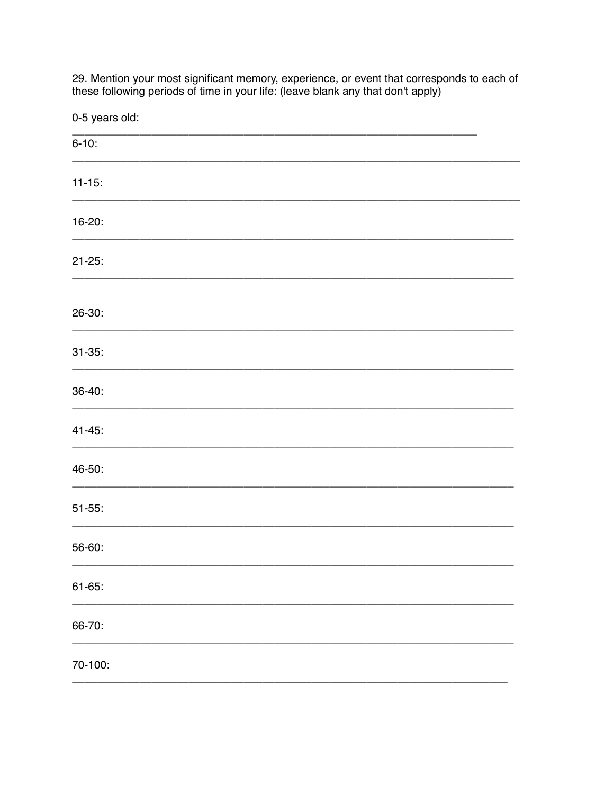29. Mention your most significant memory, experience, or event that corresponds to each of these following periods of time in your life: (leave blank any that don't apply)

0-5 years old:

| $6 - 10$ :  |  |  |  |
|-------------|--|--|--|
| $11 - 15$ : |  |  |  |
| 16-20:      |  |  |  |
| $21 - 25$ : |  |  |  |
| 26-30:      |  |  |  |
| $31 - 35$ : |  |  |  |
| 36-40:      |  |  |  |
| $41 - 45$ : |  |  |  |
| 46-50:      |  |  |  |
| $51 - 55$ : |  |  |  |
| 56-60:      |  |  |  |
| $61 - 65$ : |  |  |  |
| 66-70:      |  |  |  |
| 70-100:     |  |  |  |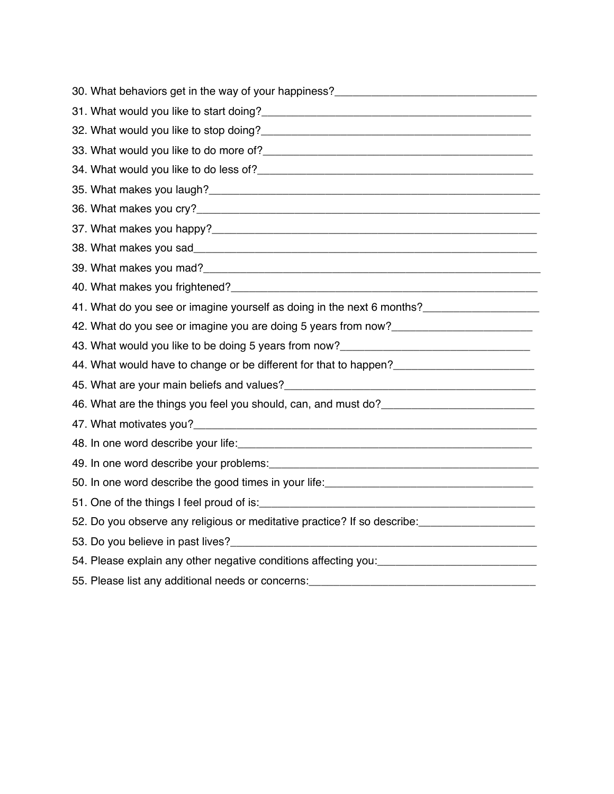| 30. What behaviors get in the way of your happiness?_____________________________                                                                                                                                                    |
|--------------------------------------------------------------------------------------------------------------------------------------------------------------------------------------------------------------------------------------|
| 31. What would you like to start doing?<br>and the contract of the contract of the contract of the contract of the contract of the contract of the contract of the contract of the contract of the contract of the contract of t     |
|                                                                                                                                                                                                                                      |
|                                                                                                                                                                                                                                      |
|                                                                                                                                                                                                                                      |
|                                                                                                                                                                                                                                      |
|                                                                                                                                                                                                                                      |
|                                                                                                                                                                                                                                      |
|                                                                                                                                                                                                                                      |
|                                                                                                                                                                                                                                      |
|                                                                                                                                                                                                                                      |
| 41. What do you see or imagine yourself as doing in the next 6 months?_________________                                                                                                                                              |
| 42. What do you see or imagine you are doing 5 years from now?__________________                                                                                                                                                     |
| 43. What would you like to be doing 5 years from now?___________________________                                                                                                                                                     |
| 44. What would have to change or be different for that to happen?______________________                                                                                                                                              |
|                                                                                                                                                                                                                                      |
| 46. What are the things you feel you should, can, and must do? __________________                                                                                                                                                    |
|                                                                                                                                                                                                                                      |
| 48. In one word describe your life: <b>All and Server Control and Server Control of the Control of All and Server Control of All and Server Control of All and Server Control of All and Server Control of All and Server Contro</b> |
|                                                                                                                                                                                                                                      |
|                                                                                                                                                                                                                                      |
|                                                                                                                                                                                                                                      |
| 52. Do you observe any religious or meditative practice? If so describe: _______________                                                                                                                                             |
|                                                                                                                                                                                                                                      |
| 54. Please explain any other negative conditions affecting you: _______________________                                                                                                                                              |
|                                                                                                                                                                                                                                      |
|                                                                                                                                                                                                                                      |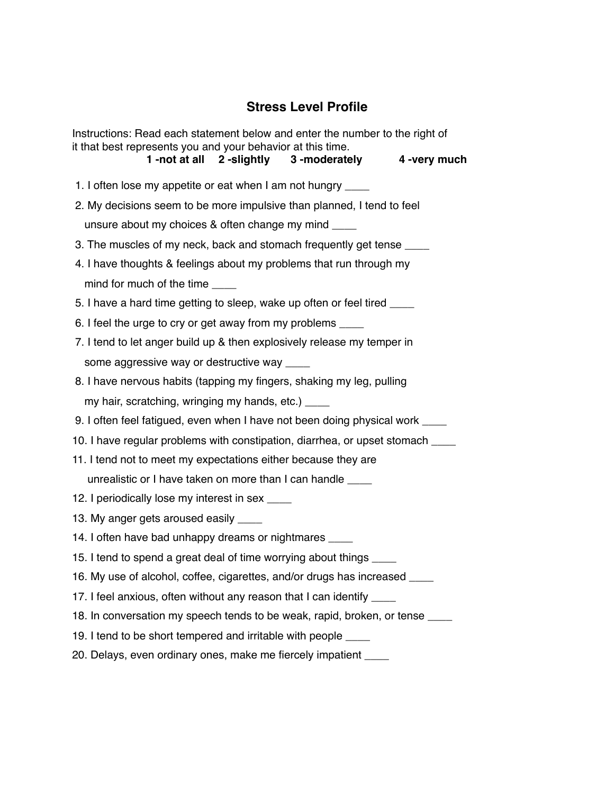## **Stress Level Profile**

Instructions: Read each statement below and enter the number to the right of it that best represents you and your behavior at this time. **1 -not at all 2 -slightly 3 -moderately 4 -very much** 1. I often lose my appetite or eat when I am not hungry \_\_\_\_ 2. My decisions seem to be more impulsive than planned, I tend to feel unsure about my choices & often change my mind \_\_\_\_ 3. The muscles of my neck, back and stomach frequently get tense 4. I have thoughts & feelings about my problems that run through my mind for much of the time 5. I have a hard time getting to sleep, wake up often or feel tired \_\_\_\_ 6. I feel the urge to cry or get away from my problems \_\_\_\_ 7. I tend to let anger build up & then explosively release my temper in some aggressive way or destructive way \_\_\_\_\_ 8. I have nervous habits (tapping my fingers, shaking my leg, pulling my hair, scratching, wringing my hands, etc.) \_\_\_\_\_ 9. I often feel fatigued, even when I have not been doing physical work \_\_\_\_ 10. I have regular problems with constipation, diarrhea, or upset stomach \_\_\_\_ 11. I tend not to meet my expectations either because they are unrealistic or I have taken on more than I can handle 12. I periodically lose my interest in sex 13. My anger gets aroused easily \_\_\_\_\_ 14. I often have bad unhappy dreams or nightmares 15. I tend to spend a great deal of time worrying about things \_\_\_\_ 16. My use of alcohol, coffee, cigarettes, and/or drugs has increased \_\_\_\_ 17. I feel anxious, often without any reason that I can identify \_\_\_\_ 18. In conversation my speech tends to be weak, rapid, broken, or tense \_\_\_\_ 19. I tend to be short tempered and irritable with people \_\_\_\_

20. Delays, even ordinary ones, make me fiercely impatient \_\_\_\_